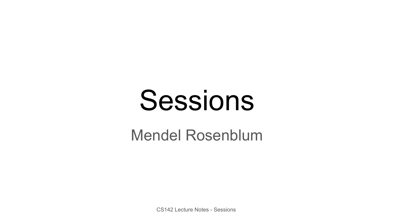# Sessions

#### Mendel Rosenblum

CS142 Lecture Notes - Sessions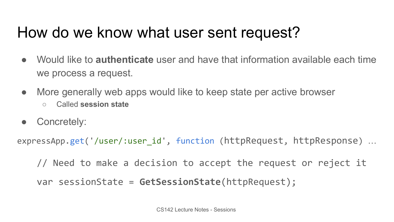## How do we know what user sent request?

- Would like to **authenticate** user and have that information available each time we process a request.
- More generally web apps would like to keep state per active browser ○ Called **session state**
- **●** Concretely:

expressApp.get('/user/:user\_id', function (httpRequest, httpResponse) …

// Need to make a decision to accept the request or reject it

var sessionState = **GetSessionState**(httpRequest);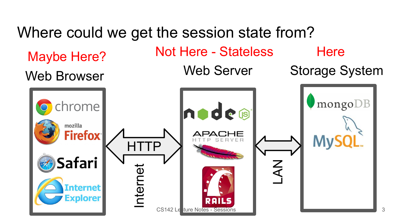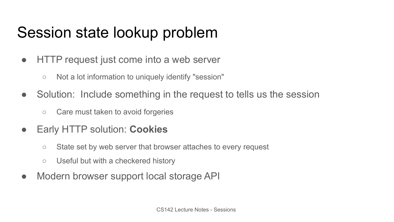## Session state lookup problem

- HTTP request just come into a web server
	- Not a lot information to uniquely identify "session"
- Solution: Include something in the request to tells us the session
	- Care must taken to avoid forgeries
- Early HTTP solution: **Cookies**
	- **○** State set by web server that browser attaches to every request
	- Useful but with a checkered history
- Modern browser support local storage API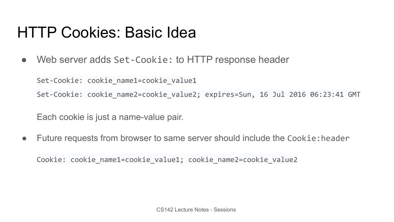#### HTTP Cookies: Basic Idea

● Web server adds Set-Cookie: to HTTP response header

Set-Cookie: cookie name1=cookie value1

Set-Cookie: cookie name2=cookie value2; expires=Sun, 16 Jul 2016 06:23:41 GMT

Each cookie is just a name-value pair.

● Future requests from browser to same server should include the Cookie:header

Cookie: cookie name1=cookie value1; cookie name2=cookie value2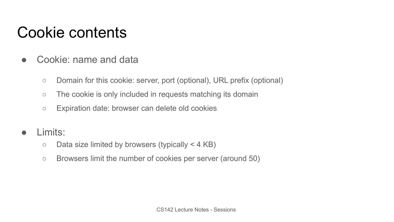## Cookie contents

- Cookie: name and data
	- Domain for this cookie: server, port (optional), URL prefix (optional)
	- The cookie is only included in requests matching its domain
	- Expiration date: browser can delete old cookies
- Limits:
	- $\circ$  Data size limited by browsers (typically < 4 KB)
	- Browsers limit the number of cookies per server (around 50)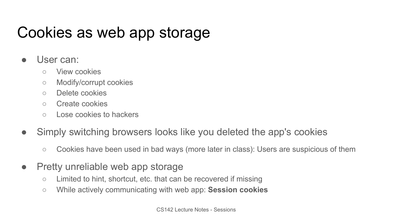## Cookies as web app storage

- User can:
	- View cookies
	- Modify/corrupt cookies
	- Delete cookies
	- Create cookies
	- Lose cookies to hackers
- Simply switching browsers looks like you deleted the app's cookies
	- Cookies have been used in bad ways (more later in class): Users are suspicious of them
- Pretty unreliable web app storage
	- Limited to hint, shortcut, etc. that can be recovered if missing
	- While actively communicating with web app: **Session cookies**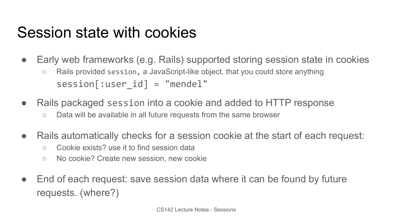#### Session state with cookies

- Early web frameworks (e.g. Rails) supported storing session state in cookies ○ Rails provided session, a JavaScript-like object, that you could store anything session[:user\_id] = "mendel"
- Rails packaged session into a cookie and added to HTTP response
	- Data will be available in all future requests from the same browser
- Rails automatically checks for a session cookie at the start of each request:
	- Cookie exists? use it to find session data
	- No cookie? Create new session, new cookie
- End of each request: save session data where it can be found by future requests. (where?)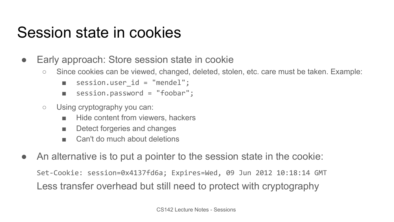#### Session state in cookies

- Early approach: Store session state in cookie
	- Since cookies can be viewed, changed, deleted, stolen, etc. care must be taken. Example:
		- session.user id = "mendel";
		- session.password = "foobar";
	- Using cryptography you can:
		- Hide content from viewers, hackers
		- Detect forgeries and changes
		- Can't do much about deletions
- An alternative is to put a pointer to the session state in the cookie:

Set-Cookie: session=0x4137fd6a; Expires=Wed, 09 Jun 2012 10:18:14 GMT Less transfer overhead but still need to protect with cryptography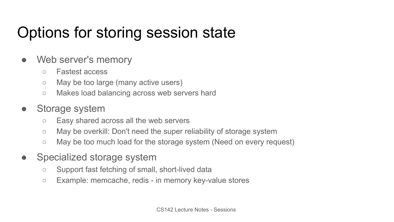# Options for storing session state

- Web server's memory
	- Fastest access
	- May be too large (many active users)
	- Makes load balancing across web servers hard
- Storage system
	- Easy shared across all the web servers
	- May be overkill: Don't need the super reliability of storage system
	- May be too much load for the storage system (Need on every request)
- Specialized storage system
	- Support fast fetching of small, short-lived data
	- Example: memcache, redis in memory key-value stores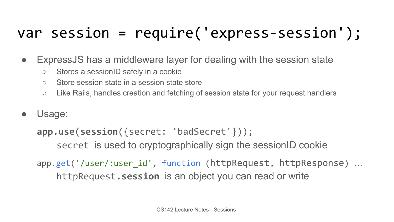# var session = require('express-session');

- ExpressJS has a middleware layer for dealing with the session state
	- Stores a sessionID safely in a cookie
	- Store session state in a session state store
	- Like Rails, handles creation and fetching of session state for your request handlers
- Usage:

```
app.use(session({secret: 'badSecret'}));
    secret is used to cryptographically sign the sessionID cookie
```
app.get('/user/:user\_id', function (httpRequest, httpResponse) … httpRequest**.session** is an object you can read or write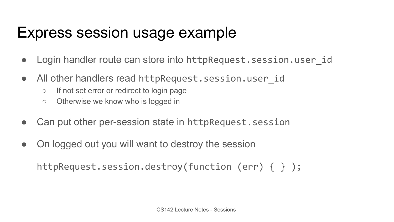#### Express session usage example

- Login handler route can store into httpRequest.session.user id
- All other handlers read httpRequest.session.user id
	- If not set error or redirect to login page
	- Otherwise we know who is logged in
- Can put other per-session state in httpRequest.session
- On logged out you will want to destroy the session

httpRequest.session.destroy(function (err) { } );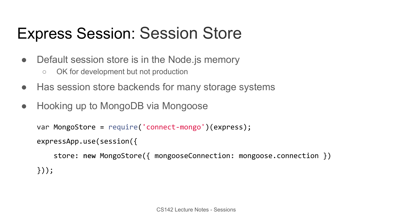# Express Session: Session Store

- Default session store is in the Node is memory
	- OK for development but not production
- Has session store backends for many storage systems
- Hooking up to MongoDB via Mongoose

```
var MongoStore = require('connect-mongo')(express);
```

```
expressApp.use(session({
```

```
 store: new MongoStore({ mongooseConnection: mongoose.connection })
}));
```